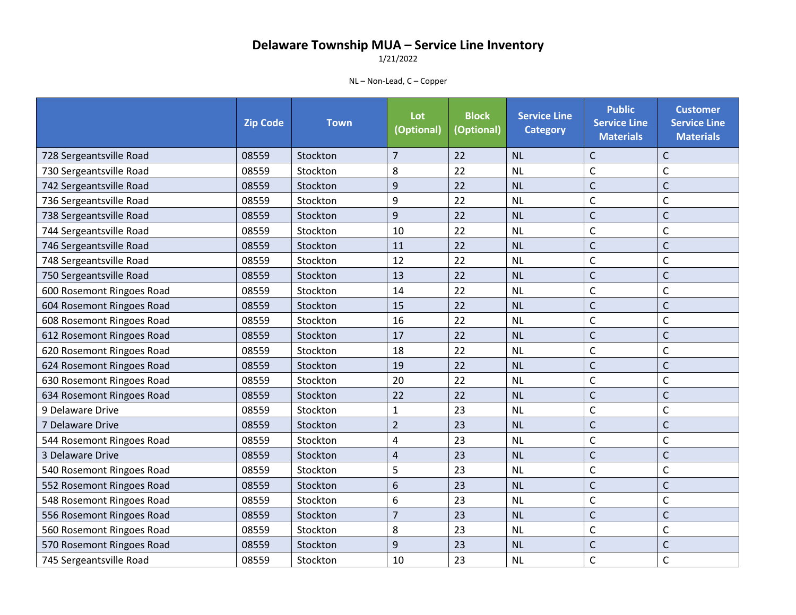1/21/2022

|                           | <b>Zip Code</b> | <b>Town</b> | Lot<br>(Optional) | <b>Block</b><br>(Optional) | <b>Service Line</b><br><b>Category</b> | <b>Public</b><br><b>Service Line</b><br><b>Materials</b> | <b>Customer</b><br><b>Service Line</b><br><b>Materials</b> |
|---------------------------|-----------------|-------------|-------------------|----------------------------|----------------------------------------|----------------------------------------------------------|------------------------------------------------------------|
| 728 Sergeantsville Road   | 08559           | Stockton    | $\overline{7}$    | 22                         | <b>NL</b>                              | $\mathsf{C}$                                             | $\mathsf{C}$                                               |
| 730 Sergeantsville Road   | 08559           | Stockton    | 8                 | 22                         | <b>NL</b>                              | $\mathsf{C}$                                             | $\mathsf C$                                                |
| 742 Sergeantsville Road   | 08559           | Stockton    | 9                 | 22                         | <b>NL</b>                              | Ċ                                                        | $\mathsf{C}$                                               |
| 736 Sergeantsville Road   | 08559           | Stockton    | 9                 | 22                         | <b>NL</b>                              | $\mathsf{C}$                                             | $\mathsf C$                                                |
| 738 Sergeantsville Road   | 08559           | Stockton    | 9                 | 22                         | <b>NL</b>                              | $\mathsf{C}$                                             | $\mathsf C$                                                |
| 744 Sergeantsville Road   | 08559           | Stockton    | 10                | 22                         | <b>NL</b>                              | $\mathsf{C}$                                             | $\mathsf C$                                                |
| 746 Sergeantsville Road   | 08559           | Stockton    | 11                | 22                         | <b>NL</b>                              | $\mathsf{C}$                                             | $\mathsf{C}$                                               |
| 748 Sergeantsville Road   | 08559           | Stockton    | 12                | 22                         | <b>NL</b>                              | $\mathsf{C}$                                             | $\mathsf{C}$                                               |
| 750 Sergeantsville Road   | 08559           | Stockton    | 13                | 22                         | <b>NL</b>                              | $\mathsf{C}$                                             | $\mathsf C$                                                |
| 600 Rosemont Ringoes Road | 08559           | Stockton    | 14                | 22                         | <b>NL</b>                              | $\mathsf{C}$                                             | $\mathsf{C}$                                               |
| 604 Rosemont Ringoes Road | 08559           | Stockton    | 15                | 22                         | <b>NL</b>                              | $\mathsf{C}$                                             | $\mathsf{C}$                                               |
| 608 Rosemont Ringoes Road | 08559           | Stockton    | 16                | 22                         | <b>NL</b>                              | $\mathsf{C}$                                             | $\mathsf{C}$                                               |
| 612 Rosemont Ringoes Road | 08559           | Stockton    | 17                | 22                         | <b>NL</b>                              | $\mathsf{C}$                                             | $\mathsf C$                                                |
| 620 Rosemont Ringoes Road | 08559           | Stockton    | 18                | 22                         | <b>NL</b>                              | $\mathsf{C}$                                             | $\mathsf C$                                                |
| 624 Rosemont Ringoes Road | 08559           | Stockton    | 19                | 22                         | <b>NL</b>                              | $\mathsf{C}$                                             | $\mathsf{C}$                                               |
| 630 Rosemont Ringoes Road | 08559           | Stockton    | 20                | 22                         | <b>NL</b>                              | $\mathsf{C}$                                             | $\mathsf{C}$                                               |
| 634 Rosemont Ringoes Road | 08559           | Stockton    | 22                | 22                         | <b>NL</b>                              | $\mathsf{C}$                                             | $\mathsf{C}$                                               |
| 9 Delaware Drive          | 08559           | Stockton    | $\mathbf{1}$      | 23                         | <b>NL</b>                              | $\mathsf{C}$                                             | $\mathsf{C}$                                               |
| 7 Delaware Drive          | 08559           | Stockton    | $\overline{2}$    | 23                         | <b>NL</b>                              | $\mathsf C$                                              | $\mathsf{C}$                                               |
| 544 Rosemont Ringoes Road | 08559           | Stockton    | 4                 | 23                         | <b>NL</b>                              | $\mathsf{C}$                                             | $\mathsf C$                                                |
| 3 Delaware Drive          | 08559           | Stockton    | $\overline{4}$    | 23                         | <b>NL</b>                              | $\overline{C}$                                           | $\mathsf{C}$                                               |
| 540 Rosemont Ringoes Road | 08559           | Stockton    | 5                 | 23                         | <b>NL</b>                              | $\mathsf{C}$                                             | $\mathsf{C}$                                               |
| 552 Rosemont Ringoes Road | 08559           | Stockton    | 6                 | 23                         | <b>NL</b>                              | $\mathsf{C}$                                             | $\mathsf C$                                                |
| 548 Rosemont Ringoes Road | 08559           | Stockton    | 6                 | 23                         | <b>NL</b>                              | $\mathsf{C}$                                             | $\mathsf{C}$                                               |
| 556 Rosemont Ringoes Road | 08559           | Stockton    | $\overline{7}$    | 23                         | <b>NL</b>                              | $\mathsf{C}$                                             | $\mathsf{C}$                                               |
| 560 Rosemont Ringoes Road | 08559           | Stockton    | 8                 | 23                         | <b>NL</b>                              | $\mathsf{C}$                                             | $\mathsf{C}$                                               |
| 570 Rosemont Ringoes Road | 08559           | Stockton    | 9                 | 23                         | <b>NL</b>                              | $\mathsf{C}$                                             | $\mathsf C$                                                |
| 745 Sergeantsville Road   | 08559           | Stockton    | 10                | 23                         | <b>NL</b>                              | C                                                        | $\mathsf{C}$                                               |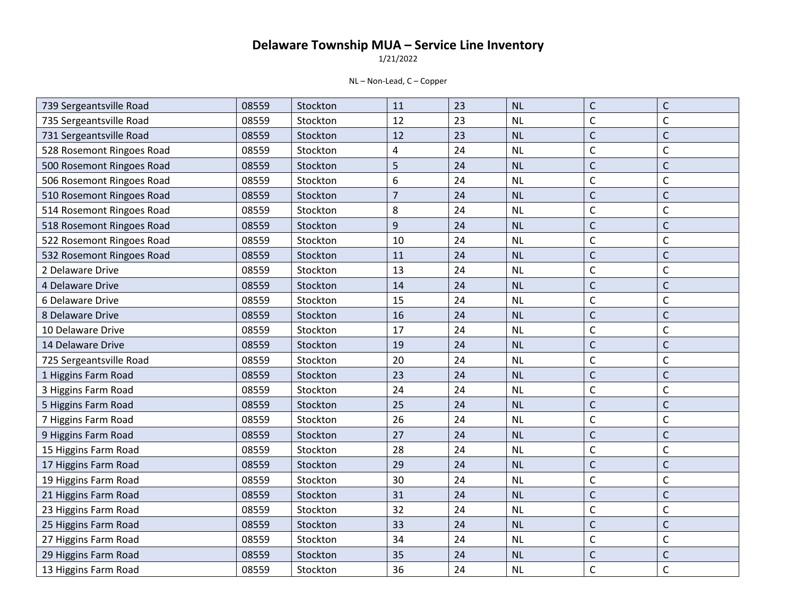1/21/2022

| 739 Sergeantsville Road   | 08559 | Stockton | 11             | 23 | NL        | $\mathsf{C}$ | $\mathsf C$  |
|---------------------------|-------|----------|----------------|----|-----------|--------------|--------------|
| 735 Sergeantsville Road   | 08559 | Stockton | 12             | 23 | <b>NL</b> | $\mathsf{C}$ | $\mathsf C$  |
| 731 Sergeantsville Road   | 08559 | Stockton | 12             | 23 | <b>NL</b> | $\mathsf{C}$ | $\mathsf{C}$ |
| 528 Rosemont Ringoes Road | 08559 | Stockton | 4              | 24 | <b>NL</b> | $\mathsf{C}$ | $\mathsf C$  |
| 500 Rosemont Ringoes Road | 08559 | Stockton | 5              | 24 | <b>NL</b> | $\mathsf{C}$ | $\mathsf{C}$ |
| 506 Rosemont Ringoes Road | 08559 | Stockton | 6              | 24 | NL        | $\mathsf{C}$ | $\mathsf{C}$ |
| 510 Rosemont Ringoes Road | 08559 | Stockton | $\overline{7}$ | 24 | <b>NL</b> | $\mathsf{C}$ | $\mathsf C$  |
| 514 Rosemont Ringoes Road | 08559 | Stockton | 8              | 24 | <b>NL</b> | $\mathsf{C}$ | $\mathsf{C}$ |
| 518 Rosemont Ringoes Road | 08559 | Stockton | 9              | 24 | <b>NL</b> | $\mathsf{C}$ | $\mathsf{C}$ |
| 522 Rosemont Ringoes Road | 08559 | Stockton | 10             | 24 | <b>NL</b> | $\mathsf{C}$ | $\mathsf C$  |
| 532 Rosemont Ringoes Road | 08559 | Stockton | 11             | 24 | NL        | $\mathsf{C}$ | $\mathsf C$  |
| 2 Delaware Drive          | 08559 | Stockton | 13             | 24 | <b>NL</b> | $\mathsf{C}$ | $\mathsf{C}$ |
| 4 Delaware Drive          | 08559 | Stockton | 14             | 24 | <b>NL</b> | $\mathsf{C}$ | $\mathsf C$  |
| 6 Delaware Drive          | 08559 | Stockton | 15             | 24 | <b>NL</b> | $\mathsf{C}$ | $\mathsf C$  |
| 8 Delaware Drive          | 08559 | Stockton | 16             | 24 | <b>NL</b> | $\mathsf{C}$ | $\mathsf{C}$ |
| 10 Delaware Drive         | 08559 | Stockton | 17             | 24 | <b>NL</b> | $\mathsf{C}$ | $\mathsf{C}$ |
| 14 Delaware Drive         | 08559 | Stockton | 19             | 24 | <b>NL</b> | $\mathsf{C}$ | $\mathsf{C}$ |
| 725 Sergeantsville Road   | 08559 | Stockton | 20             | 24 | <b>NL</b> | $\mathsf{C}$ | $\mathsf{C}$ |
| 1 Higgins Farm Road       | 08559 | Stockton | 23             | 24 | <b>NL</b> | $\mathsf{C}$ | $\mathsf C$  |
| 3 Higgins Farm Road       | 08559 | Stockton | 24             | 24 | <b>NL</b> | $\mathsf{C}$ | $\mathsf{C}$ |
| 5 Higgins Farm Road       | 08559 | Stockton | 25             | 24 | <b>NL</b> | $\mathsf{C}$ | $\mathsf{C}$ |
| 7 Higgins Farm Road       | 08559 | Stockton | 26             | 24 | <b>NL</b> | $\mathsf{C}$ | $\mathsf C$  |
| 9 Higgins Farm Road       | 08559 | Stockton | 27             | 24 | <b>NL</b> | $\mathsf{C}$ | $\mathsf C$  |
| 15 Higgins Farm Road      | 08559 | Stockton | 28             | 24 | <b>NL</b> | $\mathsf{C}$ | $\mathsf C$  |
| 17 Higgins Farm Road      | 08559 | Stockton | 29             | 24 | <b>NL</b> | $\mathsf{C}$ | $\mathsf{C}$ |
| 19 Higgins Farm Road      | 08559 | Stockton | 30             | 24 | <b>NL</b> | $\mathsf{C}$ | $\mathsf C$  |
| 21 Higgins Farm Road      | 08559 | Stockton | 31             | 24 | <b>NL</b> | $\mathsf{C}$ | $\mathsf C$  |
| 23 Higgins Farm Road      | 08559 | Stockton | 32             | 24 | <b>NL</b> | $\mathsf{C}$ | $\mathsf{C}$ |
| 25 Higgins Farm Road      | 08559 | Stockton | 33             | 24 | NL        | $\mathsf{C}$ | $\mathsf C$  |
| 27 Higgins Farm Road      | 08559 | Stockton | 34             | 24 | <b>NL</b> | $\mathsf{C}$ | $\mathsf{C}$ |
| 29 Higgins Farm Road      | 08559 | Stockton | 35             | 24 | <b>NL</b> | $\mathsf{C}$ | $\mathsf C$  |
| 13 Higgins Farm Road      | 08559 | Stockton | 36             | 24 | <b>NL</b> | $\mathsf C$  | $\mathsf C$  |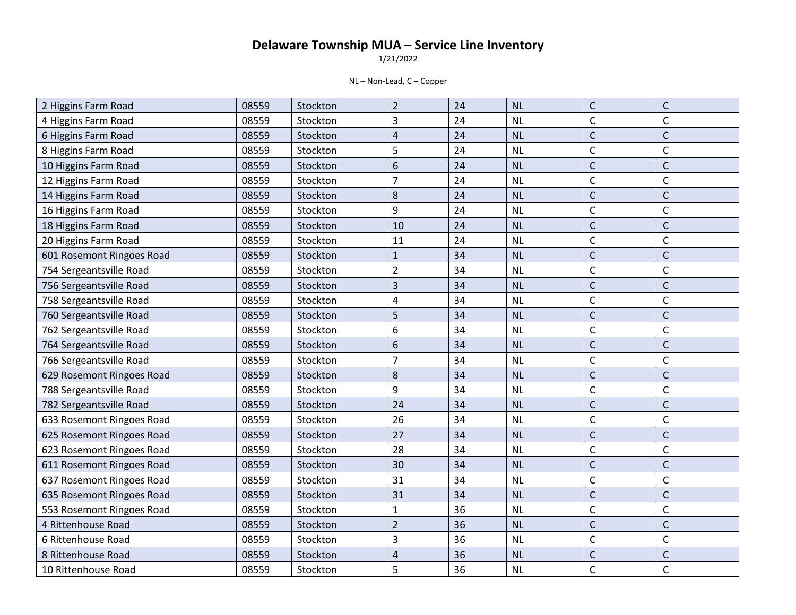1/21/2022

| 2 Higgins Farm Road       | 08559 | Stockton | $\overline{2}$ | 24 | <b>NL</b> | $\mathsf{C}$ | $\mathsf C$  |
|---------------------------|-------|----------|----------------|----|-----------|--------------|--------------|
| 4 Higgins Farm Road       | 08559 | Stockton | 3              | 24 | <b>NL</b> | $\mathsf{C}$ | $\mathsf C$  |
| 6 Higgins Farm Road       | 08559 | Stockton | $\sqrt{4}$     | 24 | <b>NL</b> | $\mathsf{C}$ | $\mathsf{C}$ |
| 8 Higgins Farm Road       | 08559 | Stockton | 5              | 24 | <b>NL</b> | $\mathsf{C}$ | $\mathsf C$  |
| 10 Higgins Farm Road      | 08559 | Stockton | 6              | 24 | <b>NL</b> | $\mathsf{C}$ | $\mathsf C$  |
| 12 Higgins Farm Road      | 08559 | Stockton | $\overline{7}$ | 24 | <b>NL</b> | $\mathsf{C}$ | $\mathsf{C}$ |
| 14 Higgins Farm Road      | 08559 | Stockton | 8              | 24 | <b>NL</b> | $\mathsf{C}$ | $\mathsf C$  |
| 16 Higgins Farm Road      | 08559 | Stockton | 9              | 24 | <b>NL</b> | C            | $\mathsf{C}$ |
| 18 Higgins Farm Road      | 08559 | Stockton | 10             | 24 | <b>NL</b> | $\mathsf{C}$ | $\mathsf{C}$ |
| 20 Higgins Farm Road      | 08559 | Stockton | 11             | 24 | <b>NL</b> | $\mathsf{C}$ | $\mathsf C$  |
| 601 Rosemont Ringoes Road | 08559 | Stockton | $\mathbf{1}$   | 34 | <b>NL</b> | C            | $\mathsf{C}$ |
| 754 Sergeantsville Road   | 08559 | Stockton | $\overline{2}$ | 34 | <b>NL</b> | $\mathsf{C}$ | $\mathsf{C}$ |
| 756 Sergeantsville Road   | 08559 | Stockton | 3              | 34 | <b>NL</b> | $\mathsf{C}$ | $\mathsf C$  |
| 758 Sergeantsville Road   | 08559 | Stockton | 4              | 34 | <b>NL</b> | C            | $\mathsf{C}$ |
| 760 Sergeantsville Road   | 08559 | Stockton | 5              | 34 | <b>NL</b> | $\mathsf{C}$ | $\mathsf{C}$ |
| 762 Sergeantsville Road   | 08559 | Stockton | 6              | 34 | <b>NL</b> | $\mathsf{C}$ | $\mathsf C$  |
| 764 Sergeantsville Road   | 08559 | Stockton | 6              | 34 | <b>NL</b> | C            | $\mathsf C$  |
| 766 Sergeantsville Road   | 08559 | Stockton | $\overline{7}$ | 34 | <b>NL</b> | $\mathsf{C}$ | $\mathsf{C}$ |
| 629 Rosemont Ringoes Road | 08559 | Stockton | 8              | 34 | <b>NL</b> | $\mathsf{C}$ | $\mathsf{C}$ |
| 788 Sergeantsville Road   | 08559 | Stockton | 9              | 34 | <b>NL</b> | C            | $\mathsf{C}$ |
| 782 Sergeantsville Road   | 08559 | Stockton | 24             | 34 | <b>NL</b> | $\mathsf{C}$ | $\mathsf{C}$ |
| 633 Rosemont Ringoes Road | 08559 | Stockton | 26             | 34 | <b>NL</b> | $\mathsf{C}$ | $\mathsf{C}$ |
| 625 Rosemont Ringoes Road | 08559 | Stockton | 27             | 34 | <b>NL</b> | $\mathsf{C}$ | $\mathsf C$  |
| 623 Rosemont Ringoes Road | 08559 | Stockton | 28             | 34 | <b>NL</b> | $\mathsf{C}$ | $\mathsf C$  |
| 611 Rosemont Ringoes Road | 08559 | Stockton | 30             | 34 | <b>NL</b> | $\mathsf{C}$ | $\mathsf{C}$ |
| 637 Rosemont Ringoes Road | 08559 | Stockton | 31             | 34 | <b>NL</b> | C            | $\mathsf C$  |
| 635 Rosemont Ringoes Road | 08559 | Stockton | 31             | 34 | <b>NL</b> | $\mathsf{C}$ | $\mathsf C$  |
| 553 Rosemont Ringoes Road | 08559 | Stockton | $\mathbf{1}$   | 36 | <b>NL</b> | $\mathsf{C}$ | $\mathsf C$  |
| 4 Rittenhouse Road        | 08559 | Stockton | $\overline{2}$ | 36 | <b>NL</b> | $\mathsf{C}$ | $\mathsf C$  |
| 6 Rittenhouse Road        | 08559 | Stockton | 3              | 36 | <b>NL</b> | $\mathsf{C}$ | $\mathsf C$  |
| 8 Rittenhouse Road        | 08559 | Stockton | $\sqrt{4}$     | 36 | <b>NL</b> | C            | $\mathsf C$  |
| 10 Rittenhouse Road       | 08559 | Stockton | 5              | 36 | <b>NL</b> | C            | $\mathsf C$  |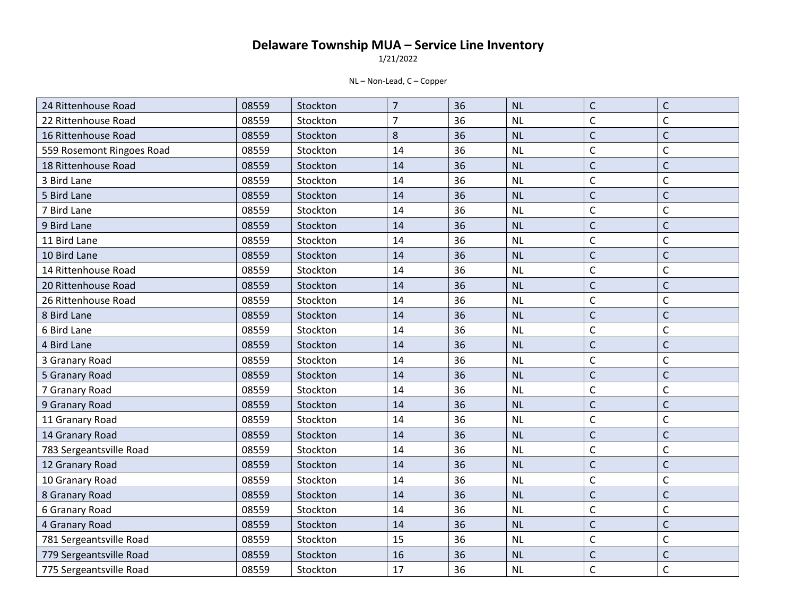1/21/2022

| 24 Rittenhouse Road       | 08559 | Stockton | $\overline{7}$ | 36 | NL        | $\mathsf{C}$ | $\mathsf C$  |
|---------------------------|-------|----------|----------------|----|-----------|--------------|--------------|
| 22 Rittenhouse Road       | 08559 | Stockton | $\overline{7}$ | 36 | NL        | $\mathsf C$  | $\mathsf{C}$ |
| 16 Rittenhouse Road       | 08559 | Stockton | 8              | 36 | <b>NL</b> | $\mathsf{C}$ | $\mathsf{C}$ |
| 559 Rosemont Ringoes Road | 08559 | Stockton | 14             | 36 | <b>NL</b> | $\mathsf C$  | $\mathsf{C}$ |
| 18 Rittenhouse Road       | 08559 | Stockton | 14             | 36 | <b>NL</b> | $\mathsf{C}$ | $\mathsf{C}$ |
| 3 Bird Lane               | 08559 | Stockton | 14             | 36 | <b>NL</b> | $\mathsf{C}$ | $\mathsf{C}$ |
| 5 Bird Lane               | 08559 | Stockton | 14             | 36 | NL        | $\mathsf{C}$ | $\mathsf{C}$ |
| 7 Bird Lane               | 08559 | Stockton | 14             | 36 | <b>NL</b> | C            | $\mathsf{C}$ |
| 9 Bird Lane               | 08559 | Stockton | 14             | 36 | NL        | $\mathsf{C}$ | $\mathsf{C}$ |
| 11 Bird Lane              | 08559 | Stockton | 14             | 36 | <b>NL</b> | $\mathsf{C}$ | $\mathsf{C}$ |
| 10 Bird Lane              | 08559 | Stockton | 14             | 36 | <b>NL</b> | $\mathsf{C}$ | $\mathsf{C}$ |
| 14 Rittenhouse Road       | 08559 | Stockton | 14             | 36 | <b>NL</b> | $\mathsf{C}$ | $\mathsf{C}$ |
| 20 Rittenhouse Road       | 08559 | Stockton | 14             | 36 | <b>NL</b> | $\mathsf{C}$ | $\mathsf{C}$ |
| 26 Rittenhouse Road       | 08559 | Stockton | 14             | 36 | NL        | C            | $\mathsf{C}$ |
| 8 Bird Lane               | 08559 | Stockton | 14             | 36 | <b>NL</b> | $\mathsf{C}$ | $\mathsf{C}$ |
| 6 Bird Lane               | 08559 | Stockton | 14             | 36 | <b>NL</b> | $\mathsf C$  | $\mathsf{C}$ |
| 4 Bird Lane               | 08559 | Stockton | 14             | 36 | NL        | $\mathsf C$  | $\mathsf{C}$ |
| 3 Granary Road            | 08559 | Stockton | 14             | 36 | <b>NL</b> | $\mathsf{C}$ | $\mathsf{C}$ |
| 5 Granary Road            | 08559 | Stockton | 14             | 36 | NL        | $\mathsf{C}$ | $\mathsf{C}$ |
| 7 Granary Road            | 08559 | Stockton | 14             | 36 | <b>NL</b> | C            | $\mathsf{C}$ |
| 9 Granary Road            | 08559 | Stockton | 14             | 36 | <b>NL</b> | $\mathsf{C}$ | $\mathsf{C}$ |
| 11 Granary Road           | 08559 | Stockton | 14             | 36 | NL        | $\mathsf C$  | $\mathsf{C}$ |
| 14 Granary Road           | 08559 | Stockton | 14             | 36 | <b>NL</b> | $\mathsf{C}$ | $\mathsf{C}$ |
| 783 Sergeantsville Road   | 08559 | Stockton | 14             | 36 | <b>NL</b> | $\mathsf C$  | $\mathsf{C}$ |
| 12 Granary Road           | 08559 | Stockton | 14             | 36 | <b>NL</b> | $\mathsf{C}$ | $\mathsf{C}$ |
| 10 Granary Road           | 08559 | Stockton | 14             | 36 | <b>NL</b> | C            | $\mathsf{C}$ |
| 8 Granary Road            | 08559 | Stockton | 14             | 36 | <b>NL</b> | $\mathsf{C}$ | $\mathsf{C}$ |
| 6 Granary Road            | 08559 | Stockton | 14             | 36 | <b>NL</b> | $\mathsf{C}$ | $\mathsf{C}$ |
| 4 Granary Road            | 08559 | Stockton | 14             | 36 | NL        | $\mathsf C$  | $\mathsf{C}$ |
| 781 Sergeantsville Road   | 08559 | Stockton | 15             | 36 | NL        | $\mathsf{C}$ | $\mathsf{C}$ |
| 779 Sergeantsville Road   | 08559 | Stockton | 16             | 36 | <b>NL</b> | $\mathsf{C}$ | $\mathsf{C}$ |
| 775 Sergeantsville Road   | 08559 | Stockton | 17             | 36 | NL        | C            | $\mathsf{C}$ |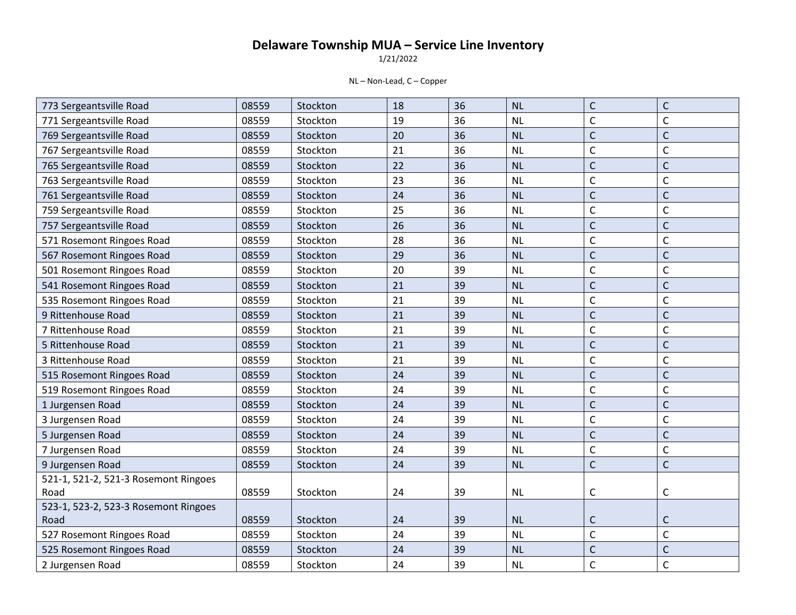1/21/2022

| 773 Sergeantsville Road              | 08559 | Stockton | 18 | 36 | <b>NL</b> | $\mathsf{C}$   | $\mathsf C$  |
|--------------------------------------|-------|----------|----|----|-----------|----------------|--------------|
| 771 Sergeantsville Road              | 08559 | Stockton | 19 | 36 | <b>NL</b> | $\mathsf{C}$   | $\mathsf{C}$ |
| 769 Sergeantsville Road              | 08559 | Stockton | 20 | 36 | <b>NL</b> | $\mathsf{C}$   | $\mathsf{C}$ |
| 767 Sergeantsville Road              | 08559 | Stockton | 21 | 36 | <b>NL</b> | $\mathsf{C}$   | $\mathsf C$  |
| 765 Sergeantsville Road              | 08559 | Stockton | 22 | 36 | <b>NL</b> | $\overline{C}$ | $\mathsf{C}$ |
| 763 Sergeantsville Road              | 08559 | Stockton | 23 | 36 | <b>NL</b> | $\mathsf C$    | $\mathsf C$  |
| 761 Sergeantsville Road              | 08559 | Stockton | 24 | 36 | NL        | $\mathsf{C}$   | $\mathsf{C}$ |
| 759 Sergeantsville Road              | 08559 | Stockton | 25 | 36 | <b>NL</b> | $\mathsf{C}$   | $\mathsf{C}$ |
| 757 Sergeantsville Road              | 08559 | Stockton | 26 | 36 | <b>NL</b> | $\mathsf{C}$   | $\mathsf{C}$ |
| 571 Rosemont Ringoes Road            | 08559 | Stockton | 28 | 36 | <b>NL</b> | $\mathsf{C}$   | $\mathsf{C}$ |
| 567 Rosemont Ringoes Road            | 08559 | Stockton | 29 | 36 | <b>NL</b> | $\mathsf{C}$   | $\mathsf{C}$ |
| 501 Rosemont Ringoes Road            | 08559 | Stockton | 20 | 39 | <b>NL</b> | $\mathsf{C}$   | $\mathsf{C}$ |
| 541 Rosemont Ringoes Road            | 08559 | Stockton | 21 | 39 | <b>NL</b> | $\mathsf{C}$   | $\mathsf{C}$ |
| 535 Rosemont Ringoes Road            | 08559 | Stockton | 21 | 39 | <b>NL</b> | $\mathsf C$    | $\mathsf C$  |
| 9 Rittenhouse Road                   | 08559 | Stockton | 21 | 39 | <b>NL</b> | $\mathsf{C}$   | $\mathsf C$  |
| 7 Rittenhouse Road                   | 08559 | Stockton | 21 | 39 | <b>NL</b> | $\mathsf{C}$   | $\mathsf{C}$ |
| 5 Rittenhouse Road                   | 08559 | Stockton | 21 | 39 | <b>NL</b> | $\mathsf{C}$   | $\mathsf{C}$ |
| 3 Rittenhouse Road                   | 08559 | Stockton | 21 | 39 | <b>NL</b> | $\mathsf{C}$   | $\mathsf C$  |
| 515 Rosemont Ringoes Road            | 08559 | Stockton | 24 | 39 | <b>NL</b> | $\overline{C}$ | $\mathsf{C}$ |
| 519 Rosemont Ringoes Road            | 08559 | Stockton | 24 | 39 | NL        | $\mathsf C$    | $\mathsf C$  |
| 1 Jurgensen Road                     | 08559 | Stockton | 24 | 39 | NL        | $\mathsf{C}$   | $\mathsf C$  |
| 3 Jurgensen Road                     | 08559 | Stockton | 24 | 39 | <b>NL</b> | $\mathsf{C}$   | $\mathsf C$  |
| 5 Jurgensen Road                     | 08559 | Stockton | 24 | 39 | <b>NL</b> | $\overline{C}$ | $\mathsf{C}$ |
| 7 Jurgensen Road                     | 08559 | Stockton | 24 | 39 | NL        | $\mathsf C$    | $\mathsf C$  |
| 9 Jurgensen Road                     | 08559 | Stockton | 24 | 39 | <b>NL</b> | $\mathsf{C}$   | $\mathsf{C}$ |
| 521-1, 521-2, 521-3 Rosemont Ringoes |       |          |    |    |           |                |              |
| Road                                 | 08559 | Stockton | 24 | 39 | <b>NL</b> | C              | $\mathsf{C}$ |
| 523-1, 523-2, 523-3 Rosemont Ringoes |       |          |    |    |           |                |              |
| Road                                 | 08559 | Stockton | 24 | 39 | <b>NL</b> | C              | $\mathsf{C}$ |
| 527 Rosemont Ringoes Road            | 08559 | Stockton | 24 | 39 | <b>NL</b> | $\mathsf{C}$   | $\mathsf{C}$ |
| 525 Rosemont Ringoes Road            | 08559 | Stockton | 24 | 39 | <b>NL</b> | $\mathsf{C}$   | $\mathsf C$  |
| 2 Jurgensen Road                     | 08559 | Stockton | 24 | 39 | <b>NL</b> | $\mathsf{C}$   | $\mathsf{C}$ |